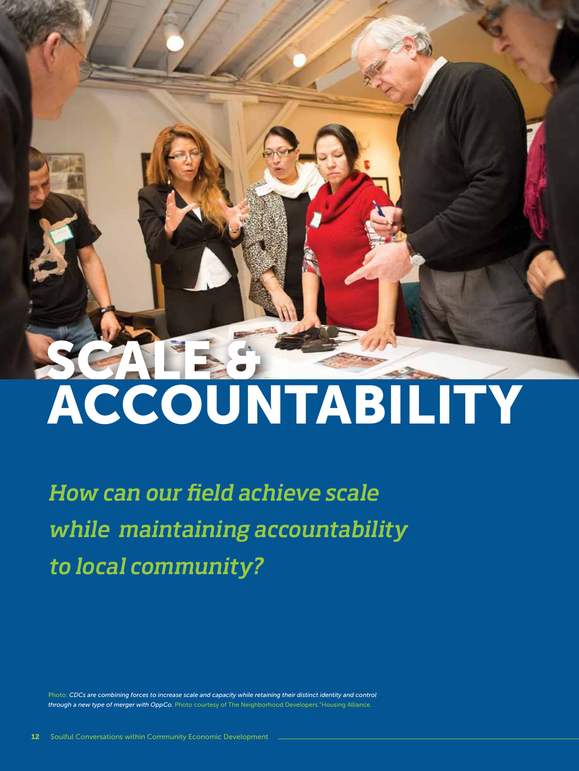# SCALE &

# ACCOUNTABILITY

*How can our field achieve scale while maintaining accountability to local community?*

Photo: *CDCs are combining forces to increase scale and capacity while retaining their distinct identity and control through a new type of merger with OppCo.* Photo courtesy of The Neighborhood Developers."Housing Alliance.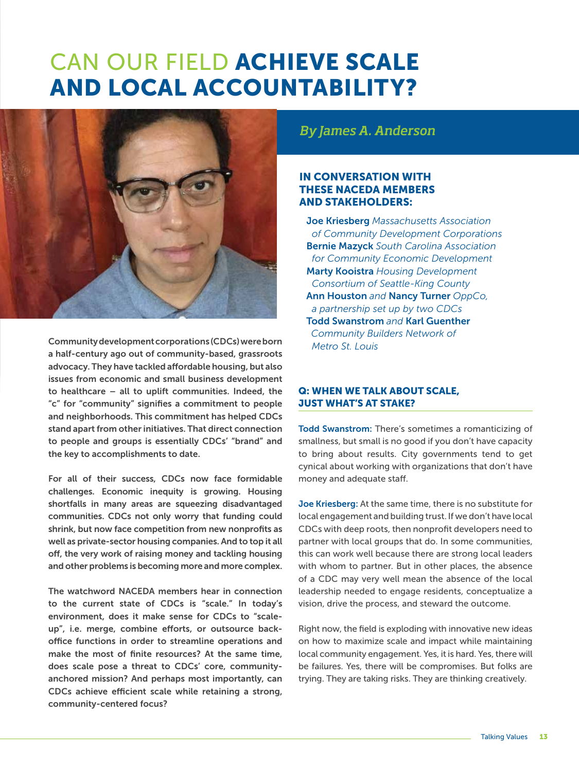# CAN OUR FIELD ACHIEVE SCALE AND LOCAL ACCOUNTABILITY?



Community development corporations (CDCs) were born a half-century ago out of community-based, grassroots advocacy. They have tackled affordable housing, but also issues from economic and small business development to healthcare – all to uplift communities. Indeed, the "c" for "community" signifies a commitment to people and neighborhoods. This commitment has helped CDCs stand apart from other initiatives. That direct connection to people and groups is essentially CDCs' "brand" and the key to accomplishments to date.

For all of their success, CDCs now face formidable challenges. Economic inequity is growing. Housing shortfalls in many areas are squeezing disadvantaged communities. CDCs not only worry that funding could shrink, but now face competition from new nonprofits as well as private-sector housing companies. And to top it all off, the very work of raising money and tackling housing and other problems is becoming more and more complex.

The watchword NACEDA members hear in connection to the current state of CDCs is "scale." In today's environment, does it make sense for CDCs to "scaleup", i.e. merge, combine efforts, or outsource backoffice functions in order to streamline operations and make the most of finite resources? At the same time, does scale pose a threat to CDCs' core, communityanchored mission? And perhaps most importantly, can CDCs achieve efficient scale while retaining a strong, community-centered focus?

*By James A. Anderson*

### IN CONVERSATION WITH THESE NACEDA MEMBERS AND STAKEHOLDERS:

Joe Kriesberg *Massachusetts Association of Community Development Corporations*  Bernie Mazyck *South Carolina Association for Community Economic Development* Marty Kooistra *Housing Development Consortium of Seattle-King County* Ann Houston *and* Nancy Turner *OppCo, a partnership set up by two CDCs* Todd Swanstrom *and* Karl Guenther *Community Builders Network of Metro St. Louis*

### Q: WHEN WE TALK ABOUT SCALE, JUST WHAT'S AT STAKE?

Todd Swanstrom: There's sometimes a romanticizing of smallness, but small is no good if you don't have capacity to bring about results. City governments tend to get cynical about working with organizations that don't have money and adequate staff.

Joe Kriesberg: At the same time, there is no substitute for local engagement and building trust. If we don't have local CDCs with deep roots, then nonprofit developers need to partner with local groups that do. In some communities, this can work well because there are strong local leaders with whom to partner. But in other places, the absence of a CDC may very well mean the absence of the local leadership needed to engage residents, conceptualize a vision, drive the process, and steward the outcome.

Right now, the field is exploding with innovative new ideas on how to maximize scale and impact while maintaining local community engagement. Yes, it is hard. Yes, there will be failures. Yes, there will be compromises. But folks are trying. They are taking risks. They are thinking creatively.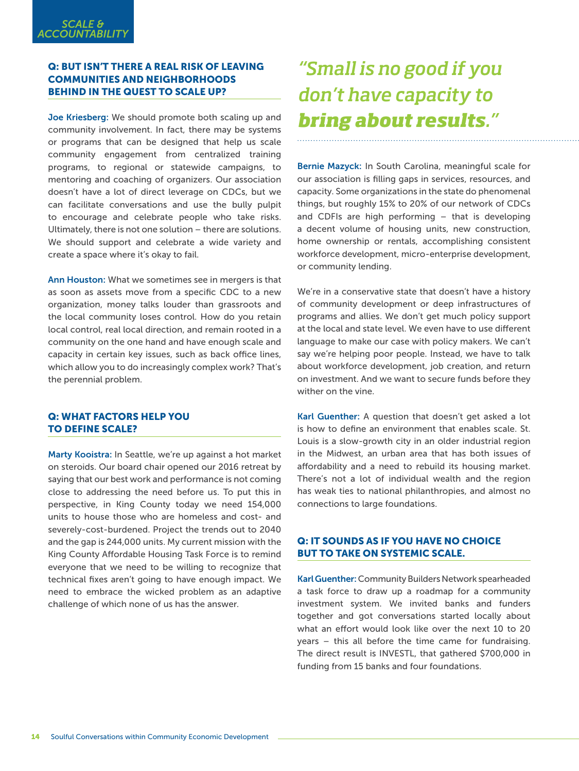### Q: BUT ISN'T THERE A REAL RISK OF LEAVING COMMUNITIES AND NEIGHBORHOODS BEHIND IN THE QUEST TO SCALE UP?

Joe Kriesberg: We should promote both scaling up and community involvement. In fact, there may be systems or programs that can be designed that help us scale community engagement from centralized training programs, to regional or statewide campaigns, to mentoring and coaching of organizers. Our association doesn't have a lot of direct leverage on CDCs, but we can facilitate conversations and use the bully pulpit to encourage and celebrate people who take risks. Ultimately, there is not one solution – there are solutions. We should support and celebrate a wide variety and create a space where it's okay to fail.

Ann Houston: What we sometimes see in mergers is that as soon as assets move from a specific CDC to a new organization, money talks louder than grassroots and the local community loses control. How do you retain local control, real local direction, and remain rooted in a community on the one hand and have enough scale and capacity in certain key issues, such as back office lines, which allow you to do increasingly complex work? That's the perennial problem.

### Q: WHAT FACTORS HELP YOU TO DEFINE SCALE?

Marty Kooistra: In Seattle, we're up against a hot market on steroids. Our board chair opened our 2016 retreat by saying that our best work and performance is not coming close to addressing the need before us. To put this in perspective, in King County today we need 154,000 units to house those who are homeless and cost- and severely-cost-burdened. Project the trends out to 2040 and the gap is 244,000 units. My current mission with the King County Affordable Housing Task Force is to remind everyone that we need to be willing to recognize that technical fixes aren't going to have enough impact. We need to embrace the wicked problem as an adaptive challenge of which none of us has the answer.

# *"Small is no good if you don't have capacity to bring about results."*

Bernie Mazyck: In South Carolina, meaningful scale for our association is filling gaps in services, resources, and capacity. Some organizations in the state do phenomenal things, but roughly 15% to 20% of our network of CDCs and CDFIs are high performing – that is developing a decent volume of housing units, new construction, home ownership or rentals, accomplishing consistent workforce development, micro-enterprise development, or community lending.

We're in a conservative state that doesn't have a history of community development or deep infrastructures of programs and allies. We don't get much policy support at the local and state level. We even have to use different language to make our case with policy makers. We can't say we're helping poor people. Instead, we have to talk about workforce development, job creation, and return on investment. And we want to secure funds before they wither on the vine.

Karl Guenther: A question that doesn't get asked a lot is how to define an environment that enables scale. St. Louis is a slow-growth city in an older industrial region in the Midwest, an urban area that has both issues of affordability and a need to rebuild its housing market. There's not a lot of individual wealth and the region has weak ties to national philanthropies, and almost no connections to large foundations.

### Q: IT SOUNDS AS IF YOU HAVE NO CHOICE BUT TO TAKE ON SYSTEMIC SCALE.

Karl Guenther: Community Builders Network spearheaded a task force to draw up a roadmap for a community investment system. We invited banks and funders together and got conversations started locally about what an effort would look like over the next 10 to 20 years – this all before the time came for fundraising. The direct result is INVESTL, that gathered \$700,000 in funding from 15 banks and four foundations.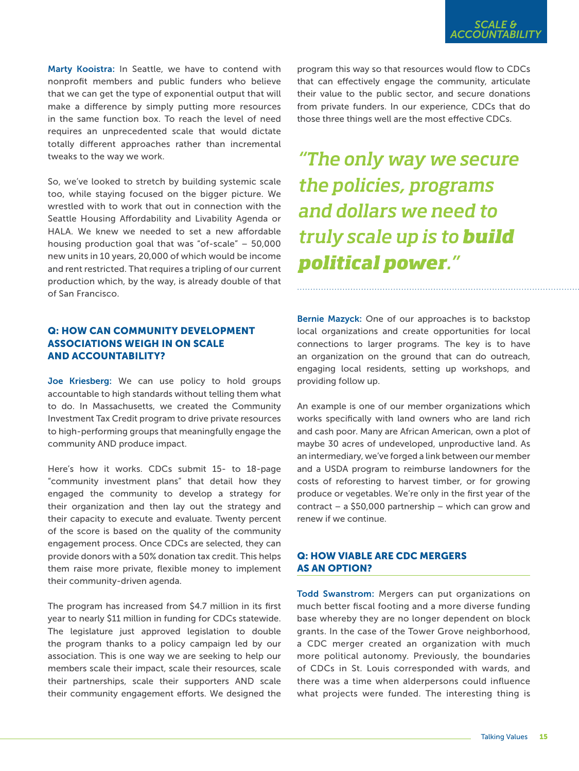Marty Kooistra: In Seattle, we have to contend with nonprofit members and public funders who believe that we can get the type of exponential output that will make a difference by simply putting more resources in the same function box. To reach the level of need requires an unprecedented scale that would dictate totally different approaches rather than incremental tweaks to the way we work.

So, we've looked to stretch by building systemic scale too, while staying focused on the bigger picture. We wrestled with to work that out in connection with the Seattle Housing Affordability and Livability Agenda or HALA. We knew we needed to set a new affordable housing production goal that was "of-scale" – 50,000 new units in 10 years, 20,000 of which would be income and rent restricted. That requires a tripling of our current production which, by the way, is already double of that of San Francisco.

### Q: HOW CAN COMMUNITY DEVELOPMENT ASSOCIATIONS WEIGH IN ON SCALE AND ACCOUNTABILITY?

Joe Kriesberg: We can use policy to hold groups accountable to high standards without telling them what to do. In Massachusetts, we created the Community Investment Tax Credit program to drive private resources to high-performing groups that meaningfully engage the community AND produce impact.

Here's how it works. CDCs submit 15- to 18-page "community investment plans" that detail how they engaged the community to develop a strategy for their organization and then lay out the strategy and their capacity to execute and evaluate. Twenty percent of the score is based on the quality of the community engagement process. Once CDCs are selected, they can provide donors with a 50% donation tax credit. This helps them raise more private, flexible money to implement their community-driven agenda.

The program has increased from \$4.7 million in its first year to nearly \$11 million in funding for CDCs statewide. The legislature just approved legislation to double the program thanks to a policy campaign led by our association. This is one way we are seeking to help our members scale their impact, scale their resources, scale their partnerships, scale their supporters AND scale their community engagement efforts. We designed the

program this way so that resources would flow to CDCs that can effectively engage the community, articulate their value to the public sector, and secure donations from private funders. In our experience, CDCs that do those three things well are the most effective CDCs.

# *"The only way we secure the policies, programs and dollars we need to truly scale up is to build political power."*

Bernie Mazyck: One of our approaches is to backstop local organizations and create opportunities for local connections to larger programs. The key is to have an organization on the ground that can do outreach, engaging local residents, setting up workshops, and providing follow up.

An example is one of our member organizations which works specifically with land owners who are land rich and cash poor. Many are African American, own a plot of maybe 30 acres of undeveloped, unproductive land. As an intermediary, we've forged a link between our member and a USDA program to reimburse landowners for the costs of reforesting to harvest timber, or for growing produce or vegetables. We're only in the first year of the contract – a \$50,000 partnership – which can grow and renew if we continue.

### Q: HOW VIABLE ARE CDC MERGERS AS AN OPTION?

Todd Swanstrom: Mergers can put organizations on much better fiscal footing and a more diverse funding base whereby they are no longer dependent on block grants. In the case of the Tower Grove neighborhood, a CDC merger created an organization with much more political autonomy. Previously, the boundaries of CDCs in St. Louis corresponded with wards, and there was a time when alderpersons could influence what projects were funded. The interesting thing is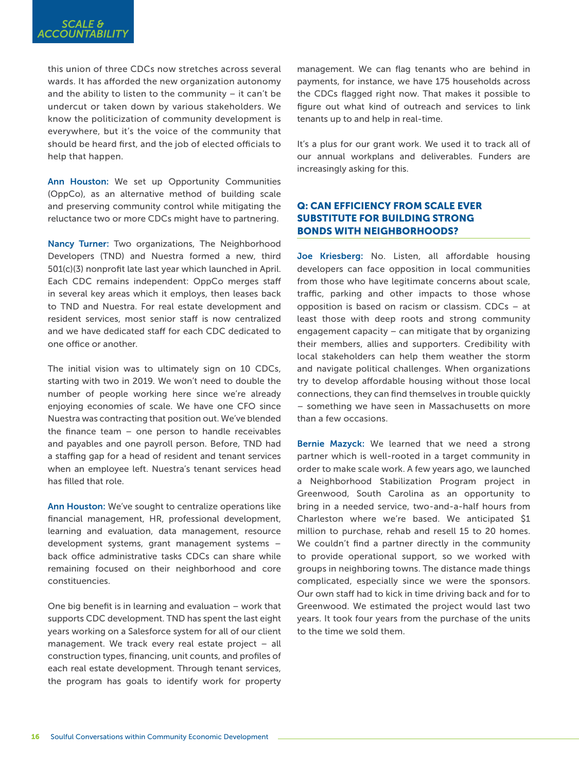this union of three CDCs now stretches across several wards. It has afforded the new organization autonomy and the ability to listen to the community  $-$  it can't be undercut or taken down by various stakeholders. We know the politicization of community development is everywhere, but it's the voice of the community that should be heard first, and the job of elected officials to help that happen.

Ann Houston: We set up Opportunity Communities (OppCo), as an alternative method of building scale and preserving community control while mitigating the reluctance two or more CDCs might have to partnering.

Nancy Turner: Two organizations, The Neighborhood Developers (TND) and Nuestra formed a new, third 501(c)(3) nonprofit late last year which launched in April. Each CDC remains independent: OppCo merges staff in several key areas which it employs, then leases back to TND and Nuestra. For real estate development and resident services, most senior staff is now centralized and we have dedicated staff for each CDC dedicated to one office or another.

The initial vision was to ultimately sign on 10 CDCs, starting with two in 2019. We won't need to double the number of people working here since we're already enjoying economies of scale. We have one CFO since Nuestra was contracting that position out. We've blended the finance team – one person to handle receivables and payables and one payroll person. Before, TND had a staffing gap for a head of resident and tenant services when an employee left. Nuestra's tenant services head has filled that role.

Ann Houston: We've sought to centralize operations like financial management, HR, professional development, learning and evaluation, data management, resource development systems, grant management systems – back office administrative tasks CDCs can share while remaining focused on their neighborhood and core constituencies.

One big benefit is in learning and evaluation – work that supports CDC development. TND has spent the last eight years working on a Salesforce system for all of our client management. We track every real estate project – all construction types, financing, unit counts, and profiles of each real estate development. Through tenant services, the program has goals to identify work for property

management. We can flag tenants who are behind in payments, for instance, we have 175 households across the CDCs flagged right now. That makes it possible to figure out what kind of outreach and services to link tenants up to and help in real-time.

It's a plus for our grant work. We used it to track all of our annual workplans and deliverables. Funders are increasingly asking for this.

### Q: CAN EFFICIENCY FROM SCALE EVER SUBSTITUTE FOR BUILDING STRONG BONDS WITH NEIGHBORHOODS?

Joe Kriesberg: No. Listen, all affordable housing developers can face opposition in local communities from those who have legitimate concerns about scale, traffic, parking and other impacts to those whose opposition is based on racism or classism. CDCs – at least those with deep roots and strong community engagement capacity – can mitigate that by organizing their members, allies and supporters. Credibility with local stakeholders can help them weather the storm and navigate political challenges. When organizations try to develop affordable housing without those local connections, they can find themselves in trouble quickly – something we have seen in Massachusetts on more than a few occasions.

Bernie Mazyck: We learned that we need a strong partner which is well-rooted in a target community in order to make scale work. A few years ago, we launched a Neighborhood Stabilization Program project in Greenwood, South Carolina as an opportunity to bring in a needed service, two-and-a-half hours from Charleston where we're based. We anticipated \$1 million to purchase, rehab and resell 15 to 20 homes. We couldn't find a partner directly in the community to provide operational support, so we worked with groups in neighboring towns. The distance made things complicated, especially since we were the sponsors. Our own staff had to kick in time driving back and for to Greenwood. We estimated the project would last two years. It took four years from the purchase of the units to the time we sold them.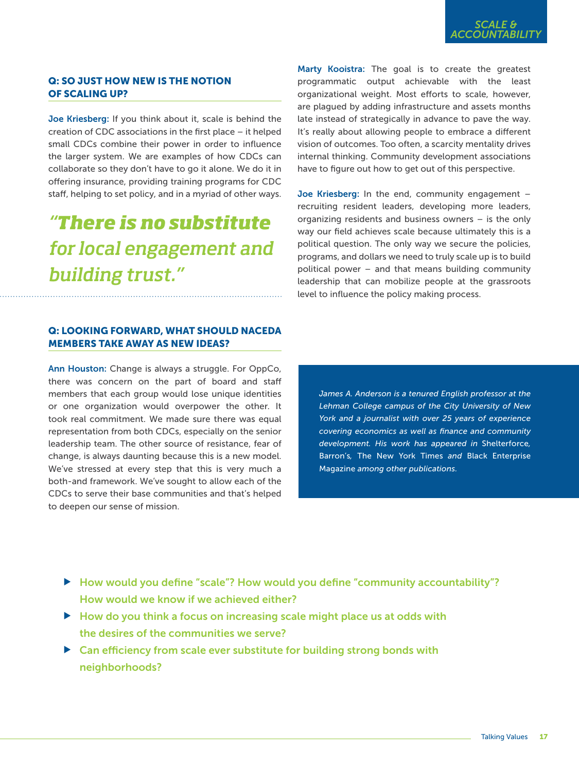### Q: SO JUST HOW NEW IS THE NOTION OF SCALING UP?

Joe Kriesberg: If you think about it, scale is behind the creation of CDC associations in the first place – it helped small CDCs combine their power in order to influence the larger system. We are examples of how CDCs can collaborate so they don't have to go it alone. We do it in offering insurance, providing training programs for CDC staff, helping to set policy, and in a myriad of other ways.

## *"There is no substitute for local engagement and building trust."*

### Q: LOOKING FORWARD, WHAT SHOULD NACEDA MEMBERS TAKE AWAY AS NEW IDEAS?

Ann Houston: Change is always a struggle. For OppCo, there was concern on the part of board and staff members that each group would lose unique identities or one organization would overpower the other. It took real commitment. We made sure there was equal representation from both CDCs, especially on the senior leadership team. The other source of resistance, fear of change, is always daunting because this is a new model. We've stressed at every step that this is very much a both-and framework. We've sought to allow each of the CDCs to serve their base communities and that's helped to deepen our sense of mission.

Marty Kooistra: The goal is to create the greatest programmatic output achievable with the least organizational weight. Most efforts to scale, however, are plagued by adding infrastructure and assets months late instead of strategically in advance to pave the way. It's really about allowing people to embrace a different vision of outcomes. Too often, a scarcity mentality drives internal thinking. Community development associations have to figure out how to get out of this perspective.

Joe Kriesberg: In the end, community engagement – recruiting resident leaders, developing more leaders, organizing residents and business owners – is the only way our field achieves scale because ultimately this is a political question. The only way we secure the policies, programs, and dollars we need to truly scale up is to build political power – and that means building community leadership that can mobilize people at the grassroots level to influence the policy making process.

*James A. Anderson is a tenured English professor at the Lehman College campus of the City University of New York and a journalist with over 25 years of experience covering economics as well as finance and community development. His work has appeared in* Shelterforce*,*  Barron's*,* The New York Times *and* Black Enterprise Magazine *among other publications.* 

- $\blacktriangleright$  How would you define "scale"? How would you define "community accountability"? How would we know if we achieved either?
- How do you think a focus on increasing scale might place us at odds with the desires of the communities we serve?
- ▶ Can efficiency from scale ever substitute for building strong bonds with neighborhoods?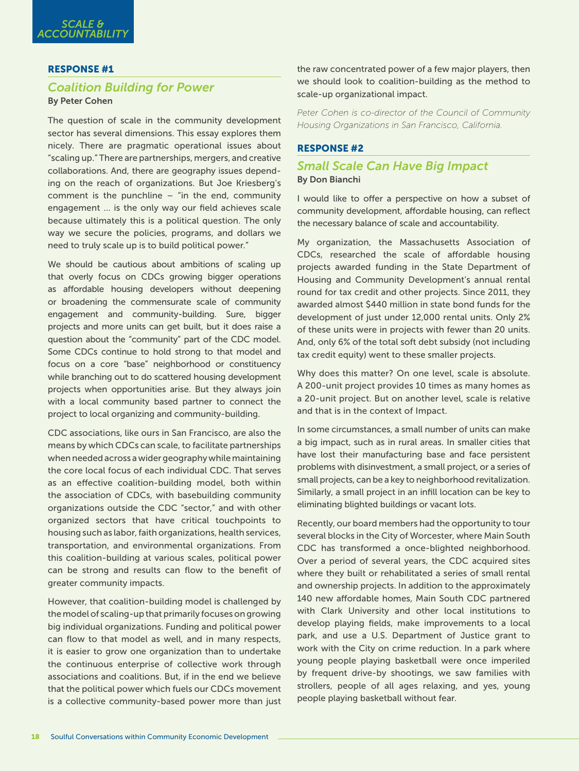### RESPONSE #1

### *Coalition Building for Power* By Peter Cohen

The question of scale in the community development sector has several dimensions. This essay explores them nicely. There are pragmatic operational issues about "scaling up." There are partnerships, mergers, and creative collaborations. And, there are geography issues depending on the reach of organizations. But Joe Kriesberg's comment is the punchline  $-$  "in the end, community engagement … is the only way our field achieves scale because ultimately this is a political question. The only way we secure the policies, programs, and dollars we need to truly scale up is to build political power."

We should be cautious about ambitions of scaling up that overly focus on CDCs growing bigger operations as affordable housing developers without deepening or broadening the commensurate scale of community engagement and community-building. Sure, bigger projects and more units can get built, but it does raise a question about the "community" part of the CDC model. Some CDCs continue to hold strong to that model and focus on a core "base" neighborhood or constituency while branching out to do scattered housing development projects when opportunities arise. But they always join with a local community based partner to connect the project to local organizing and community-building.

CDC associations, like ours in San Francisco, are also the means by which CDCs can scale, to facilitate partnerships when needed across a wider geography while maintaining the core local focus of each individual CDC. That serves as an effective coalition-building model, both within the association of CDCs, with basebuilding community organizations outside the CDC "sector," and with other organized sectors that have critical touchpoints to housing such as labor, faith organizations, health services, transportation, and environmental organizations. From this coalition-building at various scales, political power can be strong and results can flow to the benefit of greater community impacts.

However, that coalition-building model is challenged by the model of scaling-up that primarily focuses on growing big individual organizations. Funding and political power can flow to that model as well, and in many respects, it is easier to grow one organization than to undertake the continuous enterprise of collective work through associations and coalitions. But, if in the end we believe that the political power which fuels our CDCs movement is a collective community-based power more than just

the raw concentrated power of a few major players, then we should look to coalition-building as the method to scale-up organizational impact.

*Peter Cohen is co-director of the Council of Community Housing Organizations in San Francisco, California.*

### RESPONSE #2

### *Small Scale Can Have Big Impact* By Don Bianchi

I would like to offer a perspective on how a subset of community development, affordable housing, can reflect the necessary balance of scale and accountability.

My organization, the Massachusetts Association of CDCs, researched the scale of affordable housing projects awarded funding in the State Department of Housing and Community Development's annual rental round for tax credit and other projects. Since 2011, they awarded almost \$440 million in state bond funds for the development of just under 12,000 rental units. Only 2% of these units were in projects with fewer than 20 units. And, only 6% of the total soft debt subsidy (not including tax credit equity) went to these smaller projects.

Why does this matter? On one level, scale is absolute. A 200-unit project provides 10 times as many homes as a 20-unit project. But on another level, scale is relative and that is in the context of Impact.

In some circumstances, a small number of units can make a big impact, such as in rural areas. In smaller cities that have lost their manufacturing base and face persistent problems with disinvestment, a small project, or a series of small projects, can be a key to neighborhood revitalization. Similarly, a small project in an infill location can be key to eliminating blighted buildings or vacant lots.

Recently, our board members had the opportunity to tour several blocks in the City of Worcester, where Main South CDC has transformed a once-blighted neighborhood. Over a period of several years, the CDC acquired sites where they built or rehabilitated a series of small rental and ownership projects. In addition to the approximately 140 new affordable homes, Main South CDC partnered with Clark University and other local institutions to develop playing fields, make improvements to a local park, and use a U.S. Department of Justice grant to work with the City on crime reduction. In a park where young people playing basketball were once imperiled by frequent drive-by shootings, we saw families with strollers, people of all ages relaxing, and yes, young people playing basketball without fear.